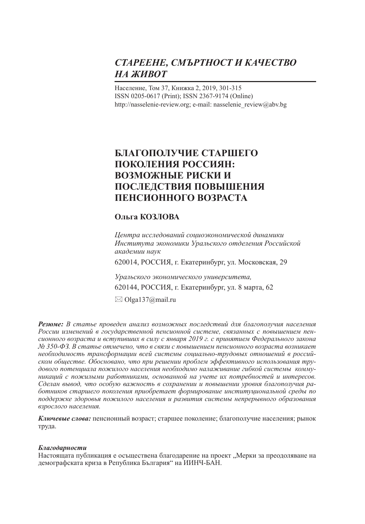# *СТАРЕЕНЕ, СМЪРТНОСТ И КАЧЕСТВО НА ЖИВОТ*

Население, Том 37, Книжка 2, 2019, 301-315 ISSN 0205-0617 (Print); ISSN 2367-9174 (Online) http://nasselenie-review.org; e-mail: nasselenie\_review@abv.bg

# **БЛАГОПОЛУЧИЕ СТАРШЕГО ПОКОЛЕНИЯ РОССИЯН: ВОЗМОЖНЫЕ РИСКИ И ПОСЛЕДСТВИЯ ПОВЫШЕНИЯ ПЕНСИОННОГО ВОЗРАСТА**

## **Ольга КОЗЛОВА**

*Центра исследований социоэкономической динамики Института экономики Уральского отделения Российской академии наук*  620014, РОССИЯ, г. Екатеринбург, ул. Московская, 29 *Уральского экономического университета,*  620144, РОССИЯ, г. Екатеринбург, ул. 8 марта, 62  $\boxtimes$  Olga137@mail.ru

*Резюме: В статье проведен анализ возможных последствий для благополучия населения России изменений в государственной пенсионной системе, связанных с повышением пенсионного возраста и вступивших в силу с января 2019 г. с принятием Федерального закона № 350-ФЗ. В статье отмечено, что в связи с повышением пенсионного возраста возникает необходимость трансформации всей системы социально-трудовых отношений в российском обществе. Обосновано, что при решении проблем эффективного использования трудового потенциала пожилого населения необходимо налаживание гибкой системы коммуникаций с пожилыми работниками, основанной на учете их потребностей и интересов. Сделан вывод, что особую важность в сохранении и повышении уровня благополучия работников старшего поколения приобретает формирование институциональной среды по поддержке здоровья пожилого населения и развития системы непрерывного образования взрослого населения.*

*Ключевые слова:* пенсионный возраст; старшее поколение; благополучие населения; рынок труда.

### *Благодарности*

Настоящата публикация е осъществена благодарение на проект "Мерки за преодоляване на демографската криза в Република България" на ИИНЧ-БАН.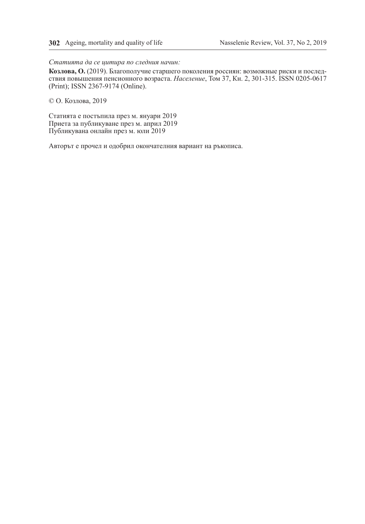*Статията да се цитира по следния начин:*

**Козлова, О.** (2019). Благополучие старшего поколения россиян: возможные риски и последствия повышения пенсионного возраста. *Население*, Том 37, Кн. 2, 301-315. ISSN 0205-0617 (Print); ISSN 2367-9174 (Online).

© О. Козлова, 2019

Статията е постъпила през м. януари 2019 Приета за публикуване през м. април 2019 Публикувана онлайн през м. юли 2019

Авторът е прочел и одобрил окончателния вариант на ръкописа.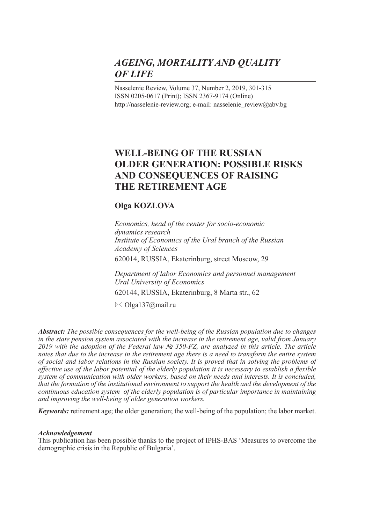# *AGEING, MORTALITY AND QUALITY OF LIFE*

Nasselenie Review, Volume 37, Number 2, 2019, 301-315 ISSN 0205-0617 (Print); ISSN 2367-9174 (Online) http://nasselenie-review.org; e-mail: nasselenie\_review@abv.bg

## **WELL-BEING OF THE RUSSIAN OLDER GENERATION: POSSIBLE RISKS AND CONSEQUENCES OF RAISING THE RETIREMENT AGE**

## **Olga KOZLOVA**

*Economics, head of the center for socio-economic dynamics research Institute of Economics of the Ural branch of the Russian Academy of Sciences* 620014, RUSSIA, Ekaterinburg, street Moscow, 29

*Department of labor Economics and personnel management Ural University of Economics*

620144, RUSSIA, Ekaterinburg, 8 Marta str., 62

 $\boxtimes$  Olga137@mail.ru

*Abstract: The possible consequences for the well-being of the Russian population due to changes in the state pension system associated with the increase in the retirement age, valid from January 2019 with the adoption of the Federal law № 350-FZ, are analyzed in this article. The article notes that due to the increase in the retirement age there is a need to transform the entire system of social and labor relations in the Russian society. It is proved that in solving the problems of effective use of the labor potential of the elderly population it is necessary to establish a flexible system of communication with older workers, based on their needs and interests. It is concluded, that the formation of the institutional environment to support the health and the development of the continuous education system of the elderly population is of particular importance in maintaining and improving the well-being of older generation workers.*

*Keywords:* retirement age; the older generation; the well-being of the population; the labor market.

### *Acknowledgement*

This publication has been possible thanks to the project of IPHS-BAS 'Measures to overcome the demographic crisis in the Republic of Bulgaria'.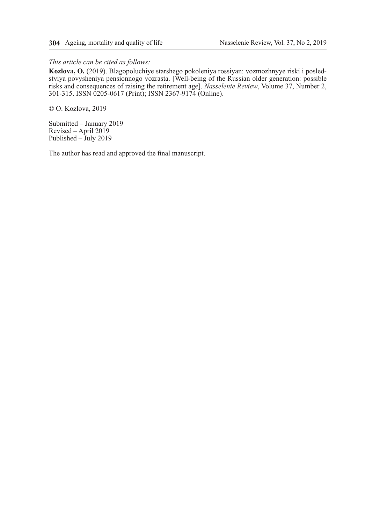#### *This article can be cited as follows:*

**Kozlova, O.** (2019). Blagopoluchiye starshego pokoleniya rossiyan: vozmozhnyye riski i posledstviya povysheniya pensionnogo vozrasta. [Well-being of the Russian older generation: possible risks and consequences of raising the retirement age]. *Nasselenie Review*, Volume 37, Number 2, 301-315. ISSN 0205-0617 (Print); ISSN 2367-9174 (Online).

© O. Kozlova, 2019

Submitted – January 2019 Revised – April 2019 Published – July 2019

The author has read and approved the final manuscript.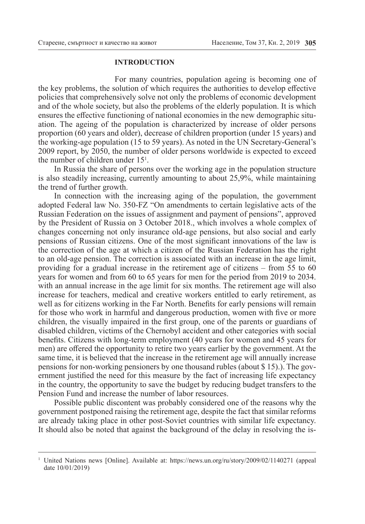#### **INTRODUCTION**

For many countries, population ageing is becoming one of the key problems, the solution of which requires the authorities to develop effective policies that comprehensively solve not only the problems of economic development and of the whole society, but also the problems of the elderly population. It is which ensures the effective functioning of national economies in the new demographic situation. The ageing of the population is characterized by increase of older persons proportion (60 years and older), decrease of children proportion (under 15 years) and the working-age population (15 to 59 years). As noted in the UN Secretary-General's 2009 report, by 2050, the number of older persons worldwide is expected to exceed the number of children under  $15<sup>1</sup>$ .

In Russia the share of persons over the working age in the population structure is also steadily increasing, currently amounting to about 25,9%, while maintaining the trend of further growth.

In connection with the increasing aging of the population, the government adopted Federal law No. 350-FZ "On amendments to certain legislative acts of the Russian Federation on the issues of assignment and payment of pensions", approved by the President of Russia on 3 October 2018., which involves a whole complex of changes concerning not only insurance old-age pensions, but also social and early pensions of Russian citizens. One of the most significant innovations of the law is the correction of the age at which a citizen of the Russian Federation has the right to an old-age pension. The correction is associated with an increase in the age limit, providing for a gradual increase in the retirement age of citizens – from 55 to 60 years for women and from 60 to 65 years for men for the period from 2019 to 2034. with an annual increase in the age limit for six months. The retirement age will also increase for teachers, medical and creative workers entitled to early retirement, as well as for citizens working in the Far North. Benefits for early pensions will remain for those who work in harmful and dangerous production, women with five or more children, the visually impaired in the first group, one of the parents or guardians of disabled children, victims of the Chernobyl accident and other categories with social benefits. Citizens with long-term employment (40 years for women and 45 years for men) are offered the opportunity to retire two years earlier by the government. At the same time, it is believed that the increase in the retirement age will annually increase pensions for non-working pensioners by one thousand rubles (about \$ 15).). The government justified the need for this measure by the fact of increasing life expectancy in the country, the opportunity to save the budget by reducing budget transfers to the Pension Fund and increase the number of labor resources.

Possible public discontent was probably considered one of the reasons why the government postponed raising the retirement age, despite the fact that similar reforms are already taking place in other post-Soviet countries with similar life expectancy. It should also be noted that against the background of the delay in resolving the is-

<sup>1</sup> United Nations news [Online]. Available at: https://news.un.org/ru/story/2009/02/1140271 (appeal date 10/01/2019)